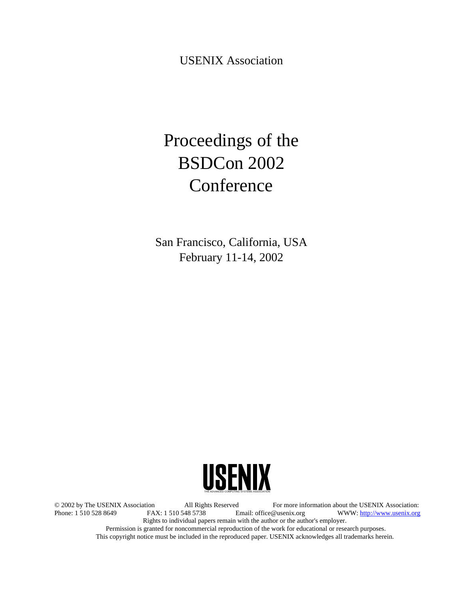USENIX Association

# Proceedings of the BSDCon 2002 Conference

San Francisco, California, USA February 11-14, 2002



© 2002 by The USENIX Association All Rights Reserved For more information about the USENIX Association: WWW: http://www.usenix.org Rights to individual papers remain with the author or the author's employer. Permission is granted for noncommercial reproduction of the work for educational or research purposes. This copyright notice must be included in the reproduced paper. USENIX acknowledges all trademarks herein.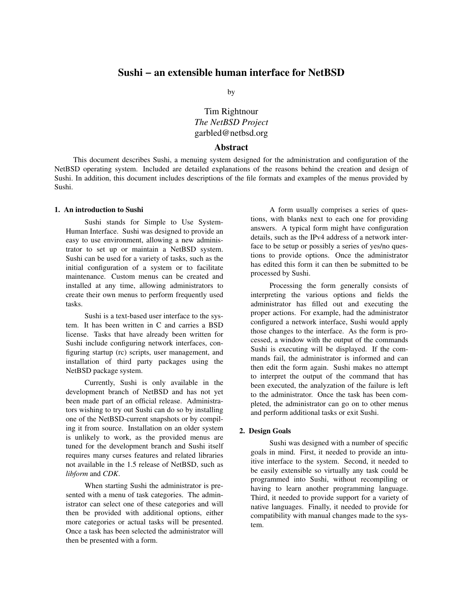by

## Tim Rightnour *The NetBSD Project* garbled@netbsd.org

## **Abstract**

This document describes Sushi, a menuing system designed for the administration and configuration of the NetBSD operating system. Included are detailed explanations of the reasons behind the creation and design of Sushi. In addition, this document includes descriptions of the file formats and examples of the menus provided by Sushi.

#### **1. An introduction to Sushi**

Sushi stands for Simple to Use System-Human Interface. Sushi was designed to provide an easy to use environment, allowing a new administrator to set up or maintain a NetBSD system. Sushi can be used for a variety of tasks, such as the initial configuration of a system or to facilitate maintenance. Custom menus can be created and installed at any time, allowing administrators to create their own menus to perform frequently used tasks.

Sushi is a text-based user interface to the system. It has been written in C and carries a BSD license. Tasks that have already been written for Sushi include configuring network interfaces, configuring startup (rc) scripts, user management, and installation of third party packages using the NetBSD package system.

Currently, Sushi is only available in the development branch of NetBSD and has not yet been made part of an official release. Administrators wishing to try out Sushi can do so by installing one of the NetBSD-current snapshots or by compiling it from source. Installation on an older system is unlikely to work, as the provided menus are tuned for the development branch and Sushi itself requires many curses features and related libraries not available in the 1.5 release of NetBSD, such as *libform* and *CDK*.

When starting Sushi the administrator is presented with a menu of task categories. The administrator can select one of these categories and will then be provided with additional options, either more categories or actual tasks will be presented. Once a task has been selected the administrator will then be presented with a form.

A form usually comprises a series of questions, with blanks next to each one for providing answers. A typical form might have configuration details, such as the IPv4 address of a network interface to be setup or possibly a series of yes/no questions to provide options. Once the administrator has edited this form it can then be submitted to be processed by Sushi.

Processing the form generally consists of interpreting the various options and fields the administrator has filled out and executing the proper actions. For example, had the administrator configured a network interface, Sushi would apply those changes to the interface. As the form is processed, a window with the output of the commands Sushi is executing will be displayed. If the commands fail, the administrator is informed and can then edit the form again. Sushi makes no attempt to interpret the output of the command that has been executed, the analyzation of the failure is left to the administrator. Once the task has been completed, the administrator can go on to other menus and perform additional tasks or exit Sushi.

#### **2. Design Goals**

Sushi was designed with a number of specific goals in mind. First, it needed to provide an intuitive interface to the system. Second, it needed to be easily extensible so virtually any task could be programmed into Sushi, without recompiling or having to learn another programming language. Third, it needed to provide support for a variety of native languages. Finally, it needed to provide for compatibility with manual changes made to the system.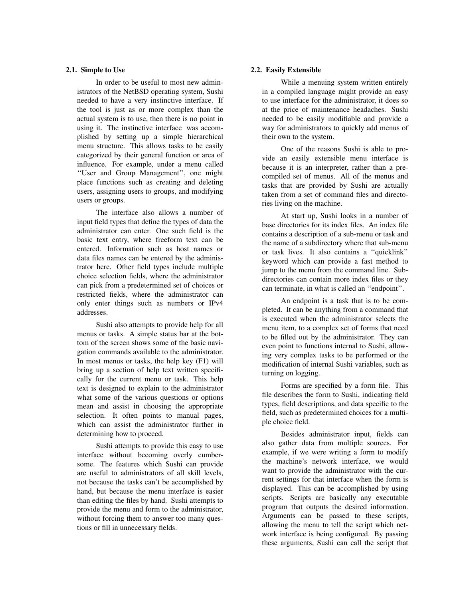## **2.1. Simple to Use**

In order to be useful to most new administrators of the NetBSD operating system, Sushi needed to have a very instinctive interface. If the tool is just as or more complex than the actual system is to use, then there is no point in using it. The instinctive interface was accomplished by setting up a simple hierarchical menu structure. This allows tasks to be easily categorized by their general function or area of influence. For example, under a menu called ''User and Group Management'', one might place functions such as creating and deleting users, assigning users to groups, and modifying users or groups.

The interface also allows a number of input field types that define the types of data the administrator can enter. One such field is the basic text entry, where freeform text can be entered. Information such as host names or data files names can be entered by the administrator here. Other field types include multiple choice selection fields, where the administrator can pick from a predetermined set of choices or restricted fields, where the administrator can only enter things such as numbers or IPv4 addresses.

Sushi also attempts to provide help for all menus or tasks. A simple status bar at the bottom of the screen shows some of the basic navigation commands available to the administrator. In most menus or tasks, the help key (F1) will bring up a section of help text written specifically for the current menu or task. This help text is designed to explain to the administrator what some of the various questions or options mean and assist in choosing the appropriate selection. It often points to manual pages, which can assist the administrator further in determining how to proceed.

Sushi attempts to provide this easy to use interface without becoming overly cumbersome. The features which Sushi can provide are useful to administrators of all skill levels, not because the tasks can't be accomplished by hand, but because the menu interface is easier than editing the files by hand. Sushi attempts to provide the menu and form to the administrator, without forcing them to answer too many questions or fill in unnecessary fields.

## **2.2. Easily Extensible**

While a menuing system written entirely in a compiled language might provide an easy to use interface for the administrator, it does so at the price of maintenance headaches. Sushi needed to be easily modifiable and provide a way for administrators to quickly add menus of their own to the system.

One of the reasons Sushi is able to provide an easily extensible menu interface is because it is an interpreter, rather than a precompiled set of menus. All of the menus and tasks that are provided by Sushi are actually taken from a set of command files and directories living on the machine.

At start up, Sushi looks in a number of base directories for its index files. An index file contains a description of a sub-menu or task and the name of a subdirectory where that sub-menu or task lives. It also contains a ''quicklink'' keyword which can provide a fast method to jump to the menu from the command line. Subdirectories can contain more index files or they can terminate, in what is called an ''endpoint''.

An endpoint is a task that is to be completed. It can be anything from a command that is executed when the administrator selects the menu item, to a complex set of forms that need to be filled out by the administrator. They can even point to functions internal to Sushi, allowing very complex tasks to be performed or the modification of internal Sushi variables, such as turning on logging.

Forms are specified by a form file. This file describes the form to Sushi, indicating field types, field descriptions, and data specific to the field, such as predetermined choices for a multiple choice field.

Besides administrator input, fields can also gather data from multiple sources. For example, if we were writing a form to modify the machine's network interface, we would want to provide the administrator with the current settings for that interface when the form is displayed. This can be accomplished by using scripts. Scripts are basically any executable program that outputs the desired information. Arguments can be passed to these scripts, allowing the menu to tell the script which network interface is being configured. By passing these arguments, Sushi can call the script that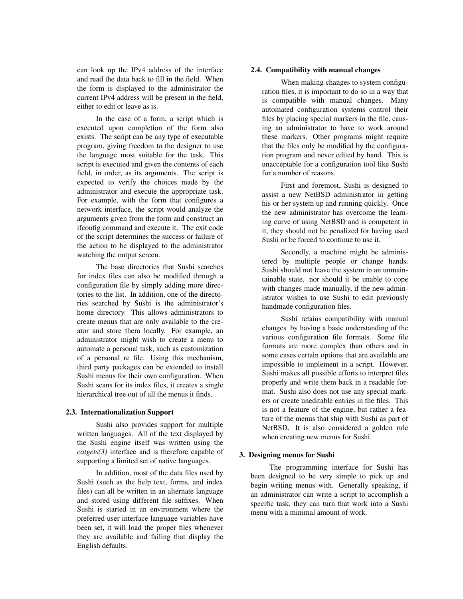can look up the IPv4 address of the interface and read the data back to fill in the field. When the form is displayed to the administrator the current IPv4 address will be present in the field, either to edit or leave as is.

In the case of a form, a script which is executed upon completion of the form also exists. The script can be any type of executable program, giving freedom to the designer to use the language most suitable for the task. This script is executed and given the contents of each field, in order, as its arguments. The script is expected to verify the choices made by the administrator and execute the appropriate task. For example, with the form that configures a network interface, the script would analyze the arguments given from the form and construct an ifconfig command and execute it. The exit code of the script determines the success or failure of the action to be displayed to the administrator watching the output screen.

The base directories that Sushi searches for index files can also be modified through a configuration file by simply adding more directories to the list. In addition, one of the directories searched by Sushi is the administrator's home directory. This allows administrators to create menus that are only available to the creator and store them locally. For example, an administrator might wish to create a menu to automate a personal task, such as customization of a personal rc file. Using this mechanism, third party packages can be extended to install Sushi menus for their own configuration. When Sushi scans for its index files, it creates a single hierarchical tree out of all the menus it finds.

## **2.3. Internationalization Support**

Sushi also provides support for multiple written languages. All of the text displayed by the Sushi engine itself was written using the *catgets(3)* interface and is therefore capable of supporting a limited set of native languages.

In addition, most of the data files used by Sushi (such as the help text, forms, and index files) can all be written in an alternate language and stored using different file suffixes. When Sushi is started in an environment where the preferred user interface language variables have been set, it will load the proper files whenever they are available and failing that display the English defaults.

## **2.4. Compatibility with manual changes**

When making changes to system configuration files, it is important to do so in a way that is compatible with manual changes. Many automated configuration systems control their files by placing special markers in the file, causing an administrator to have to work around these markers. Other programs might require that the files only be modified by the configuration program and never edited by hand. This is unacceptable for a configuration tool like Sushi for a number of reasons.

First and foremost, Sushi is designed to assist a new NetBSD administrator in getting his or her system up and running quickly. Once the new administrator has overcome the learning curve of using NetBSD and is competent in it, they should not be penalized for having used Sushi or be forced to continue to use it.

Secondly, a machine might be administered by multiple people or change hands. Sushi should not leave the system in an unmaintainable state, nor should it be unable to cope with changes made manually, if the new administrator wishes to use Sushi to edit previously handmade configuration files.

Sushi retains compatibility with manual changes by having a basic understanding of the various configuration file formats. Some file formats are more complex than others and in some cases certain options that are available are impossible to implement in a script. However, Sushi makes all possible efforts to interpret files properly and write them back in a readable format. Sushi also does not use any special markers or create uneditable entries in the files. This is not a feature of the engine, but rather a feature of the menus that ship with Sushi as part of NetBSD. It is also considered a golden rule when creating new menus for Sushi.

#### **3. Designing menus for Sushi**

The programming interface for Sushi has been designed to be very simple to pick up and begin writing menus with. Generally speaking, if an administrator can write a script to accomplish a specific task, they can turn that work into a Sushi menu with a minimal amount of work.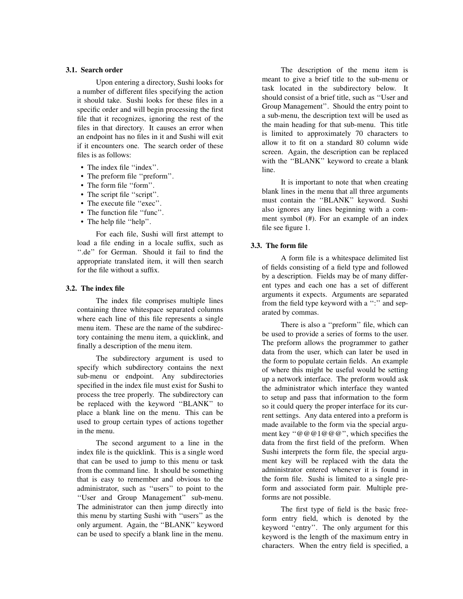## **3.1. Search order**

Upon entering a directory, Sushi looks for a number of different files specifying the action it should take. Sushi looks for these files in a specific order and will begin processing the first file that it recognizes, ignoring the rest of the files in that directory. It causes an error when an endpoint has no files in it and Sushi will exit if it encounters one. The search order of these files is as follows:

- The index file ''index''.
- The preform file ''preform''.
- The form file ''form''.
- The script file ''script''.
- The execute file ''exec''.
- The function file "func".
- The help file "help".

For each file, Sushi will first attempt to load a file ending in a locale suffix, such as ''.de'' for German. Should it fail to find the appropriate translated item, it will then search for the file without a suffix.

## **3.2. The index file**

The index file comprises multiple lines containing three whitespace separated columns where each line of this file represents a single menu item. These are the name of the subdirectory containing the menu item, a quicklink, and finally a description of the menu item.

The subdirectory argument is used to specify which subdirectory contains the next sub-menu or endpoint. Any subdirectories specified in the index file must exist for Sushi to process the tree properly. The subdirectory can be replaced with the keyword ''BLANK'' to place a blank line on the menu. This can be used to group certain types of actions together in the menu.

The second argument to a line in the index file is the quicklink. This is a single word that can be used to jump to this menu or task from the command line. It should be something that is easy to remember and obvious to the administrator, such as ''users'' to point to the ''User and Group Management'' sub-menu. The administrator can then jump directly into this menu by starting Sushi with ''users'' as the only argument. Again, the ''BLANK'' keyword can be used to specify a blank line in the menu.

The description of the menu item is meant to give a brief title to the sub-menu or task located in the subdirectory below. It should consist of a brief title, such as ''User and Group Management''. Should the entry point to a sub-menu, the description text will be used as the main heading for that sub-menu. This title is limited to approximately 70 characters to allow it to fit on a standard 80 column wide screen. Again, the description can be replaced with the ''BLANK'' keyword to create a blank line.

It is important to note that when creating blank lines in the menu that all three arguments must contain the ''BLANK'' keyword. Sushi also ignores any lines beginning with a comment symbol (#). For an example of an index file see figure 1.

## **3.3. The form file**

A form file is a whitespace delimited list of fields consisting of a field type and followed by a description. Fields may be of many different types and each one has a set of different arguments it expects. Arguments are separated from the field type keyword with a ":" and separated by commas.

There is also a ''preform'' file, which can be used to provide a series of forms to the user. The preform allows the programmer to gather data from the user, which can later be used in the form to populate certain fields. An example of where this might be useful would be setting up a network interface. The preform would ask the administrator which interface they wanted to setup and pass that information to the form so it could query the proper interface for its current settings. Any data entered into a preform is made available to the form via the special argument key ''@@@1@@@'', which specifies the data from the first field of the preform. When Sushi interprets the form file, the special argument key will be replaced with the data the administrator entered whenever it is found in the form file. Sushi is limited to a single preform and associated form pair. Multiple preforms are not possible.

The first type of field is the basic freeform entry field, which is denoted by the keyword ''entry''. The only argument for this keyword is the length of the maximum entry in characters. When the entry field is specified, a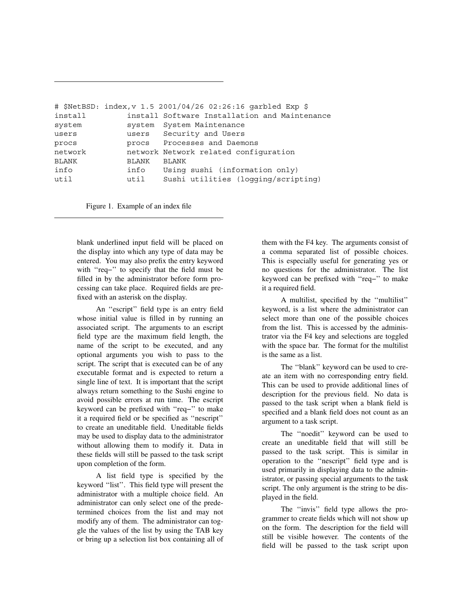|              |       | # \$NetBSD: index, v 1.5 2001/04/26 02:26:16 garbled Exp \$ |
|--------------|-------|-------------------------------------------------------------|
| install      |       | install Software Installation and Maintenance               |
| system       |       | system System Maintenance                                   |
| users        |       | users Security and Users                                    |
| procs        |       | procs Processes and Daemons                                 |
| network      |       | network Network related configuration                       |
| <b>BLANK</b> | BLANK | <b>BLANK</b>                                                |
| info         | info  | Using sushi (information only)                              |
| util         | util  | Sushi utilities (logging/scripting)                         |

Figure 1. Example of an index file

blank underlined input field will be placed on the display into which any type of data may be entered. You may also prefix the entry keyword with ''req−'' to specify that the field must be filled in by the administrator before form processing can take place. Required fields are prefixed with an asterisk on the display.

An ''escript'' field type is an entry field whose initial value is filled in by running an associated script. The arguments to an escript field type are the maximum field length, the name of the script to be executed, and any optional arguments you wish to pass to the script. The script that is executed can be of any executable format and is expected to return a single line of text. It is important that the script always return something to the Sushi engine to avoid possible errors at run time. The escript keyword can be prefixed with ''req−'' to make it a required field or be specified as ''nescript'' to create an uneditable field. Uneditable fields may be used to display data to the administrator without allowing them to modify it. Data in these fields will still be passed to the task script upon completion of the form.

A list field type is specified by the keyword ''list''. This field type will present the administrator with a multiple choice field. An administrator can only select one of the predetermined choices from the list and may not modify any of them. The administrator can toggle the values of the list by using the TAB key or bring up a selection list box containing all of them with the F4 key. The arguments consist of a comma separated list of possible choices. This is especially useful for generating yes or no questions for the administrator. The list keyword can be prefixed with ''req−'' to make it a required field.

A multilist, specified by the ''multilist'' keyword, is a list where the administrator can select more than one of the possible choices from the list. This is accessed by the administrator via the F4 key and selections are toggled with the space bar. The format for the multilist is the same as a list.

The ''blank'' keyword can be used to create an item with no corresponding entry field. This can be used to provide additional lines of description for the previous field. No data is passed to the task script when a blank field is specified and a blank field does not count as an argument to a task script.

The ''noedit'' keyword can be used to create an uneditable field that will still be passed to the task script. This is similar in operation to the ''nescript'' field type and is used primarily in displaying data to the administrator, or passing special arguments to the task script. The only argument is the string to be displayed in the field.

The "invis" field type allows the programmer to create fields which will not show up on the form. The description for the field will still be visible however. The contents of the field will be passed to the task script upon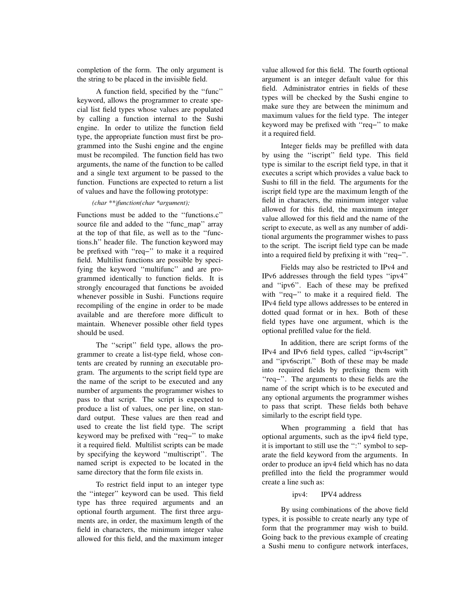completion of the form. The only argument is the string to be placed in the invisible field.

A function field, specified by the ''func'' keyword, allows the programmer to create special list field types whose values are populated by calling a function internal to the Sushi engine. In order to utilize the function field type, the appropriate function must first be programmed into the Sushi engine and the engine must be recompiled. The function field has two arguments, the name of the function to be called and a single text argument to be passed to the function. Functions are expected to return a list of values and have the following prototype:

#### *(char \*\*)function(char \*argument);*

Functions must be added to the ''functions.c'' source file and added to the ''func\_map'' array at the top of that file, as well as to the ''functions.h'' header file. The function keyword may be prefixed with ''req−'' to make it a required field. Multilist functions are possible by specifying the keyword ''multifunc'' and are programmed identically to function fields. It is strongly encouraged that functions be avoided whenever possible in Sushi. Functions require recompiling of the engine in order to be made available and are therefore more difficult to maintain. Whenever possible other field types should be used.

The "script" field type, allows the programmer to create a list-type field, whose contents are created by running an executable program. The arguments to the script field type are the name of the script to be executed and any number of arguments the programmer wishes to pass to that script. The script is expected to produce a list of values, one per line, on standard output. These values are then read and used to create the list field type. The script keyword may be prefixed with ''req−'' to make it a required field. Multilist scripts can be made by specifying the keyword ''multiscript''. The named script is expected to be located in the same directory that the form file exists in.

To restrict field input to an integer type the ''integer'' keyword can be used. This field type has three required arguments and an optional fourth argument. The first three arguments are, in order, the maximum length of the field in characters, the minimum integer value allowed for this field, and the maximum integer value allowed for this field. The fourth optional argument is an integer default value for this field. Administrator entries in fields of these types will be checked by the Sushi engine to make sure they are between the minimum and maximum values for the field type. The integer keyword may be prefixed with ''req−'' to make it a required field.

Integer fields may be prefilled with data by using the ''iscript'' field type. This field type is similar to the escript field type, in that it executes a script which provides a value back to Sushi to fill in the field. The arguments for the iscript field type are the maximum length of the field in characters, the minimum integer value allowed for this field, the maximum integer value allowed for this field and the name of the script to execute, as well as any number of additional arguments the programmer wishes to pass to the script. The iscript field type can be made into a required field by prefixing it with ''req−''.

Fields may also be restricted to IPv4 and IPv6 addresses through the field types ''ipv4'' and ''ipv6''. Each of these may be prefixed with ''req−'' to make it a required field. The IPv4 field type allows addresses to be entered in dotted quad format or in hex. Both of these field types have one argument, which is the optional prefilled value for the field.

In addition, there are script forms of the IPv4 and IPv6 field types, called ''ipv4script'' and ''ipv6script.'' Both of these may be made into required fields by prefixing them with ''req−''. The arguments to these fields are the name of the script which is to be executed and any optional arguments the programmer wishes to pass that script. These fields both behave similarly to the escript field type.

When programming a field that has optional arguments, such as the ipv4 field type, it is important to still use the ":" symbol to separate the field keyword from the arguments. In order to produce an ipv4 field which has no data prefilled into the field the programmer would create a line such as:

ipv4: IPV4 address

By using combinations of the above field types, it is possible to create nearly any type of form that the programmer may wish to build. Going back to the previous example of creating a Sushi menu to configure network interfaces,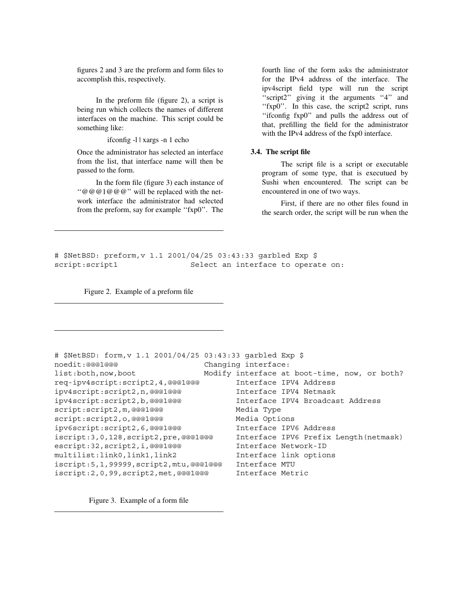figures 2 and 3 are the preform and form files to accomplish this, respectively.

In the preform file (figure 2), a script is being run which collects the names of different interfaces on the machine. This script could be something like:

ifconfig -l | xargs -n 1 echo

Once the administrator has selected an interface from the list, that interface name will then be passed to the form.

In the form file (figure 3) each instance of ''@@@1@@@'' will be replaced with the network interface the administrator had selected from the preform, say for example ''fxp0''. The

fourth line of the form asks the administrator for the IPv4 address of the interface. The ipv4script field type will run the script "script2" giving it the arguments "4" and "fxp0". In this case, the script2 script, runs ''ifconfig fxp0'' and pulls the address out of that, prefilling the field for the administrator with the IPv4 address of the fxp0 interface.

### **3.4. The script file**

The script file is a script or executable program of some type, that is executued by Sushi when encountered. The script can be encountered in one of two ways.

First, if there are no other files found in the search order, the script will be run when the

# \$NetBSD: preform,v 1.1 2001/04/25 03:43:33 garbled Exp \$ script:script1 Select an interface to operate on:

Figure 2. Example of a preform file

```
# $NetBSD: form,v 1.1 2001/04/25 03:43:33 garbled Exp $
noedit:@@@1@@@ changing interface:
list:both,now,boot Modify interface at boot-time, now, or both?
req-ipv4script:script2,4,@@@1@@@ Interface IPV4 Address
ipv4script:script2,n,@@@1@@@ Interface IPV4 Netmask
ipv4script:script2,b,@@@1@@@ Interface IPV4 Broadcast Address
script:script2, m, @@@1@@@ Media Type
script:script2, o, @@@1@@@ Media Options
ipv6script:script2,6,@@@1@@@ Interface IPV6 Address
iscript:3,0,128,script2,pre,@@@1@@@ Interface IPV6 Prefix Length(netmask)
escript:32,script2,i,@@@1@@@ Interface Network-ID
multilist:link0,link1,link2 Interface link options
iscript:5,1,99999,script2,mtu,@@@1@@@ Interface MTU
iscript:2,0,99,script2,met,@@@1@@@ Interface Metric
```
Figure 3. Example of a form file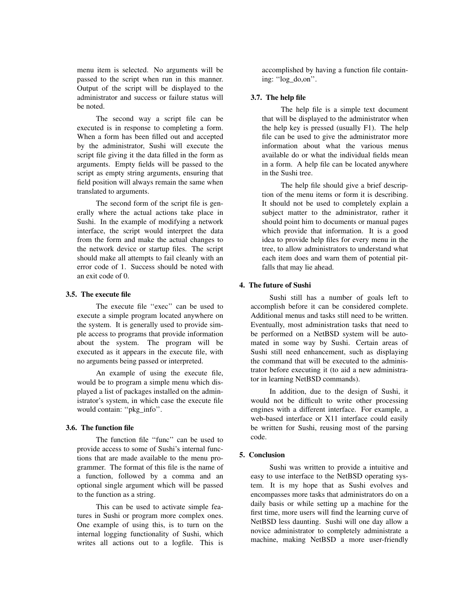menu item is selected. No arguments will be passed to the script when run in this manner. Output of the script will be displayed to the administrator and success or failure status will be noted.

The second way a script file can be executed is in response to completing a form. When a form has been filled out and accepted by the administrator, Sushi will execute the script file giving it the data filled in the form as arguments. Empty fields will be passed to the script as empty string arguments, ensuring that field position will always remain the same when translated to arguments.

The second form of the script file is generally where the actual actions take place in Sushi. In the example of modifying a network interface, the script would interpret the data from the form and make the actual changes to the network device or startup files. The script should make all attempts to fail cleanly with an error code of 1. Success should be noted with an exit code of 0.

#### **3.5. The execute file**

The execute file ''exec'' can be used to execute a simple program located anywhere on the system. It is generally used to provide simple access to programs that provide information about the system. The program will be executed as it appears in the execute file, with no arguments being passed or interpreted.

An example of using the execute file, would be to program a simple menu which displayed a list of packages installed on the administrator's system, in which case the execute file would contain: "pkg\_info".

#### **3.6. The function file**

The function file "func" can be used to provide access to some of Sushi's internal functions that are made available to the menu programmer. The format of this file is the name of a function, followed by a comma and an optional single argument which will be passed to the function as a string.

This can be used to activate simple features in Sushi or program more complex ones. One example of using this, is to turn on the internal logging functionality of Sushi, which writes all actions out to a logfile. This is

accomplished by having a function file containing: ''log\_do,on''.

### **3.7. The help file**

The help file is a simple text document that will be displayed to the administrator when the help key is pressed (usually F1). The help file can be used to give the administrator more information about what the various menus available do or what the individual fields mean in a form. A help file can be located anywhere in the Sushi tree.

The help file should give a brief description of the menu items or form it is describing. It should not be used to completely explain a subject matter to the administrator, rather it should point him to documents or manual pages which provide that information. It is a good idea to provide help files for every menu in the tree, to allow administrators to understand what each item does and warn them of potential pitfalls that may lie ahead.

#### **4. The future of Sushi**

Sushi still has a number of goals left to accomplish before it can be considered complete. Additional menus and tasks still need to be written. Eventually, most administration tasks that need to be performed on a NetBSD system will be automated in some way by Sushi. Certain areas of Sushi still need enhancement, such as displaying the command that will be executed to the administrator before executing it (to aid a new administrator in learning NetBSD commands).

In addition, due to the design of Sushi, it would not be difficult to write other processing engines with a different interface. For example, a web-based interface or X11 interface could easily be written for Sushi, reusing most of the parsing code.

#### **5. Conclusion**

Sushi was written to provide a intuitive and easy to use interface to the NetBSD operating system. It is my hope that as Sushi evolves and encompasses more tasks that administrators do on a daily basis or while setting up a machine for the first time, more users will find the learning curve of NetBSD less daunting. Sushi will one day allow a novice administrator to completely administrate a machine, making NetBSD a more user-friendly